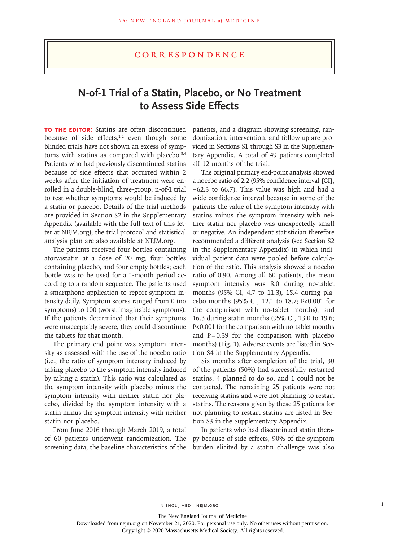## **N-of-1 Trial of a Statin, Placebo, or No Treatment to Assess Side Effects**

**TO THE EDITOR:** Statins are often discontinued because of side effects, $1,2$  even though some blinded trials have not shown an excess of symptoms with statins as compared with placebo.<sup>3,4</sup> Patients who had previously discontinued statins because of side effects that occurred within 2 weeks after the initiation of treatment were enrolled in a double-blind, three-group, n-of-1 trial to test whether symptoms would be induced by a statin or placebo. Details of the trial methods are provided in Section S2 in the Supplementary Appendix (available with the full text of this letter at NEJM.org); the trial protocol and statistical analysis plan are also available at NEJM.org.

The patients received four bottles containing atorvastatin at a dose of 20 mg, four bottles containing placebo, and four empty bottles; each bottle was to be used for a 1-month period according to a random sequence. The patients used a smartphone application to report symptom intensity daily. Symptom scores ranged from 0 (no symptoms) to 100 (worst imaginable symptoms). If the patients determined that their symptoms were unacceptably severe, they could discontinue the tablets for that month.

The primary end point was symptom intensity as assessed with the use of the nocebo ratio (i.e., the ratio of symptom intensity induced by taking placebo to the symptom intensity induced by taking a statin). This ratio was calculated as the symptom intensity with placebo minus the symptom intensity with neither statin nor placebo, divided by the symptom intensity with a statin minus the symptom intensity with neither statin nor placebo.

From June 2016 through March 2019, a total of 60 patients underwent randomization. The screening data, the baseline characteristics of the patients, and a diagram showing screening, randomization, intervention, and follow-up are provided in Sections S1 through S3 in the Supplementary Appendix. A total of 49 patients completed all 12 months of the trial.

The original primary end-point analysis showed a nocebo ratio of 2.2 (95% confidence interval [CI], −62.3 to 66.7). This value was high and had a wide confidence interval because in some of the patients the value of the symptom intensity with statins minus the symptom intensity with neither statin nor placebo was unexpectedly small or negative. An independent statistician therefore recommended a different analysis (see Section S2 in the Supplementary Appendix) in which individual patient data were pooled before calculation of the ratio. This analysis showed a nocebo ratio of 0.90. Among all 60 patients, the mean symptom intensity was 8.0 during no-tablet months (95% CI, 4.7 to 11.3), 15.4 during placebo months (95% CI, 12.1 to 18.7; P<0.001 for the comparison with no-tablet months), and 16.3 during statin months (95% CI, 13.0 to 19.6; P<0.001 for the comparison with no-tablet months and  $P=0.39$  for the comparison with placebo months) (Fig. 1). Adverse events are listed in Section S4 in the Supplementary Appendix.

Six months after completion of the trial, 30 of the patients (50%) had successfully restarted statins, 4 planned to do so, and 1 could not be contacted. The remaining 25 patients were not receiving statins and were not planning to restart statins. The reasons given by these 25 patients for not planning to restart statins are listed in Section S3 in the Supplementary Appendix.

In patients who had discontinued statin therapy because of side effects, 90% of the symptom burden elicited by a statin challenge was also

The New England Journal of Medicine

Downloaded from nejm.org on November 21, 2020. For personal use only. No other uses without permission.

Copyright © 2020 Massachusetts Medical Society. All rights reserved.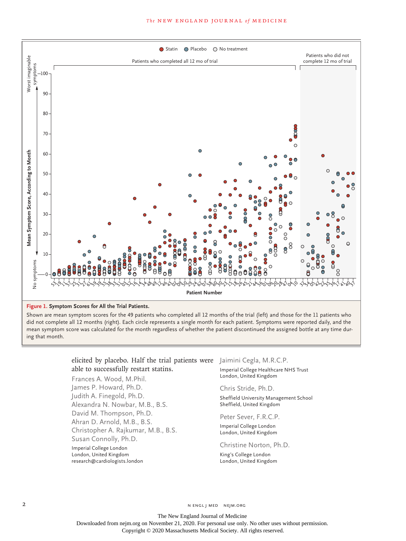



Shown are mean symptom scores for the 49 patients who completed all 12 months of the trial (left) and those for the 11 patients who did not complete all 12 months (right). Each circle represents a single month for each patient. Symptoms were reported daily, and the mean symptom score was calculated for the month regardless of whether the patient discontinued the assigned bottle at any time dur‑ ing that month.

## elicited by placebo. Half the trial patients were Jaimini Cegla, M.R.C.P. able to successfully restart statins.

Frances A. Wood, M.Phil. James P. Howard, Ph.D. Judith A. Finegold, Ph.D. Alexandra N. Nowbar, M.B., B.S. David M. Thompson, Ph.D. Ahran D. Arnold, M.B., B.S. Christopher A. Rajkumar, M.B., B.S. Susan Connolly, Ph.D. Imperial College London London, United Kingdom research@cardiologists.london

Imperial College Healthcare NHS Trust London, United Kingdom

Chris Stride, Ph.D.

Sheffield University Management School Sheffield, United Kingdom

Peter Sever, F.R.C.P.

Imperial College London London, United Kingdom

## Christine Norton, Ph.D.

King's College London London, United Kingdom

2 N ENGL J MED NEJM.ORG

The New England Journal of Medicine Downloaded from nejm.org on November 21, 2020. For personal use only. No other uses without permission. Copyright © 2020 Massachusetts Medical Society. All rights reserved.